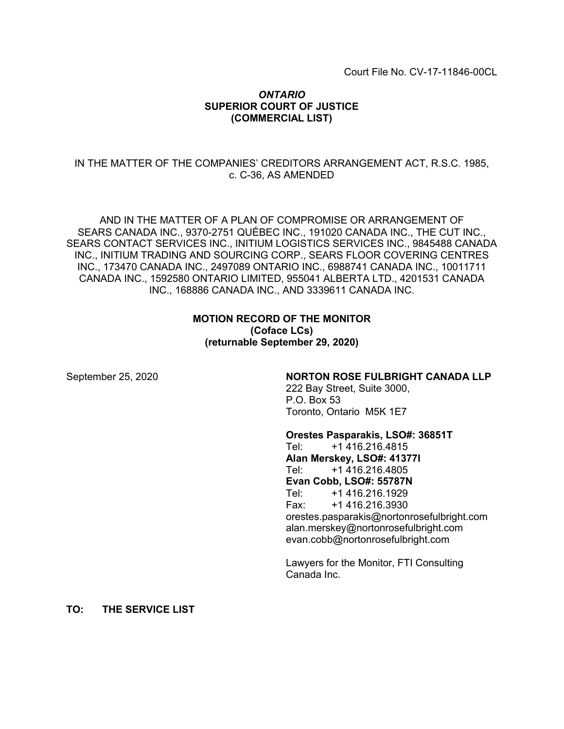## *ONTARIO* **SUPERIOR COURT OF JUSTICE (COMMERCIAL LIST)**

## IN THE MATTER OF THE COMPANIES' CREDITORS ARRANGEMENT ACT, R.S.C. 1985, c. C-36, AS AMENDED

AND IN THE MATTER OF A PLAN OF COMPROMISE OR ARRANGEMENT OF SEARS CANADA INC., 9370-2751 QUÉBEC INC., 191020 CANADA INC., THE CUT INC., SEARS CONTACT SERVICES INC., INITIUM LOGISTICS SERVICES INC., 9845488 CANADA INC., INITIUM TRADING AND SOURCING CORP., SEARS FLOOR COVERING CENTRES INC., 173470 CANADA INC., 2497089 ONTARIO INC., 6988741 CANADA INC., 10011711 CANADA INC., 1592580 ONTARIO LIMITED, 955041 ALBERTA LTD., 4201531 CANADA INC., 168886 CANADA INC., AND 3339611 CANADA INC.

## **MOTION RECORD OF THE MONITOR (Coface LCs) (returnable September 29, 2020)**

#### September 25, 2020 **NORTON ROSE FULBRIGHT CANADA LLP**

222 Bay Street, Suite 3000, P.O. Box 53 Toronto, Ontario M5K 1E7

#### **Orestes Pasparakis, LSO#: 36851T**

Tel: +1 416.216.4815 **Alan Merskey, LSO#: 41377I** Tel: +1 416.216.4805 **Evan Cobb, LSO#: 55787N** Tel: +1 416.216.1929 Fax: +1 416.216.3930 orestes.pasparakis@nortonrosefulbright.com alan.merskey@nortonrosefulbright.com evan.cobb@nortonrosefulbright.com

Lawyers for the Monitor, FTI Consulting Canada Inc.

**TO: THE SERVICE LIST**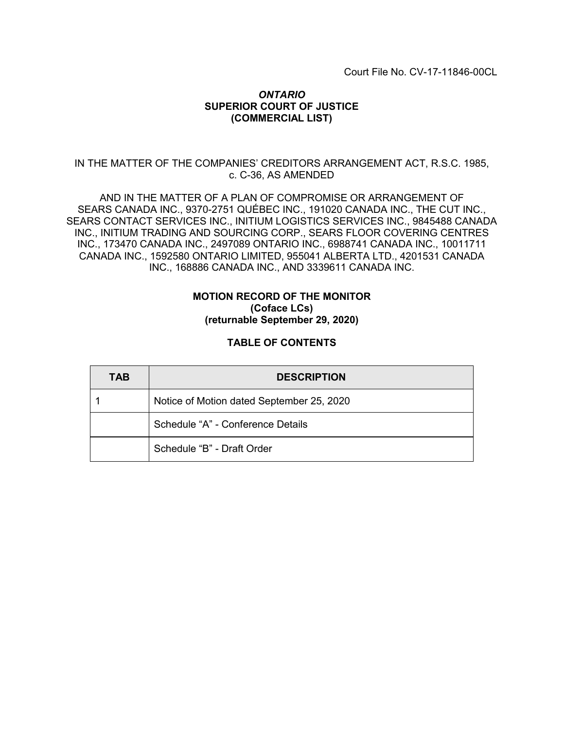## *ONTARIO* **SUPERIOR COURT OF JUSTICE (COMMERCIAL LIST)**

## IN THE MATTER OF THE COMPANIES' CREDITORS ARRANGEMENT ACT, R.S.C. 1985, c. C-36, AS AMENDED

AND IN THE MATTER OF A PLAN OF COMPROMISE OR ARRANGEMENT OF SEARS CANADA INC., 9370-2751 QUÉBEC INC., 191020 CANADA INC., THE CUT INC., SEARS CONTACT SERVICES INC., INITIUM LOGISTICS SERVICES INC., 9845488 CANADA INC., INITIUM TRADING AND SOURCING CORP., SEARS FLOOR COVERING CENTRES INC., 173470 CANADA INC., 2497089 ONTARIO INC., 6988741 CANADA INC., 10011711 CANADA INC., 1592580 ONTARIO LIMITED, 955041 ALBERTA LTD., 4201531 CANADA INC., 168886 CANADA INC., AND 3339611 CANADA INC.

#### **MOTION RECORD OF THE MONITOR (Coface LCs) (returnable September 29, 2020)**

## **TABLE OF CONTENTS**

| <b>TAB</b> | <b>DESCRIPTION</b>                        |
|------------|-------------------------------------------|
|            | Notice of Motion dated September 25, 2020 |
|            | Schedule "A" - Conference Details         |
|            | Schedule "B" - Draft Order                |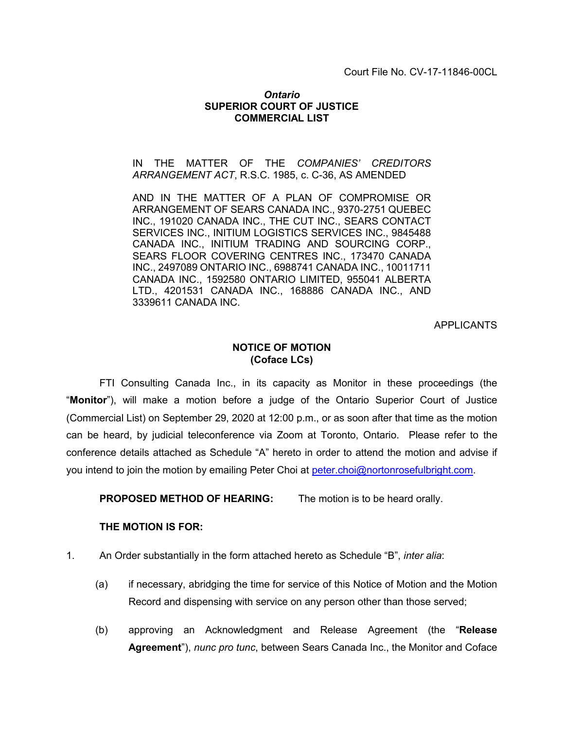#### *Ontario* **SUPERIOR COURT OF JUSTICE COMMERCIAL LIST**

IN THE MATTER OF THE *COMPANIES' CREDITORS ARRANGEMENT ACT*, R.S.C. 1985, c. C-36, AS AMENDED

AND IN THE MATTER OF A PLAN OF COMPROMISE OR ARRANGEMENT OF SEARS CANADA INC., 9370-2751 QUEBEC INC., 191020 CANADA INC., THE CUT INC., SEARS CONTACT SERVICES INC., INITIUM LOGISTICS SERVICES INC., 9845488 CANADA INC., INITIUM TRADING AND SOURCING CORP., SEARS FLOOR COVERING CENTRES INC., 173470 CANADA INC., 2497089 ONTARIO INC., 6988741 CANADA INC., 10011711 CANADA INC., 1592580 ONTARIO LIMITED, 955041 ALBERTA LTD., 4201531 CANADA INC., 168886 CANADA INC., AND 3339611 CANADA INC.

APPLICANTS

## **NOTICE OF MOTION (Coface LCs)**

FTI Consulting Canada Inc., in its capacity as Monitor in these proceedings (the "**Monitor**"), will make a motion before a judge of the Ontario Superior Court of Justice (Commercial List) on September 29, 2020 at 12:00 p.m., or as soon after that time as the motion can be heard, by judicial teleconference via Zoom at Toronto, Ontario. Please refer to the conference details attached as Schedule "A" hereto in order to attend the motion and advise if you intend to join the motion by emailing Peter Choi at [peter.choi@nortonrosefulbright.com.](mailto:peter.choi@nortonrosefulbright.com)

**PROPOSED METHOD OF HEARING:** The motion is to be heard orally.

#### **THE MOTION IS FOR:**

- 1. An Order substantially in the form attached hereto as Schedule "B", *inter alia*:
	- (a) if necessary, abridging the time for service of this Notice of Motion and the Motion Record and dispensing with service on any person other than those served;
	- (b) approving an Acknowledgment and Release Agreement (the "**Release Agreement**"), *nunc pro tunc*, between Sears Canada Inc., the Monitor and Coface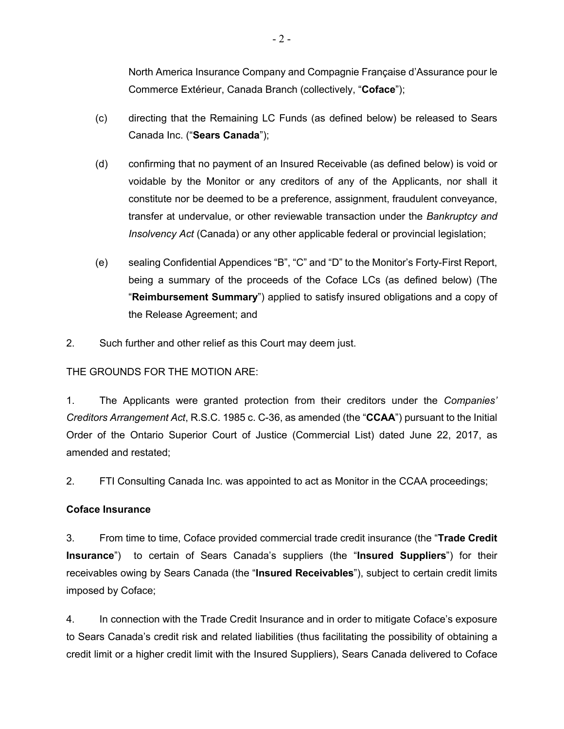North America Insurance Company and Compagnie Française d'Assurance pour le Commerce Extérieur, Canada Branch (collectively, "**Coface**");

- (c) directing that the Remaining LC Funds (as defined below) be released to Sears Canada Inc. ("**Sears Canada**");
- (d) confirming that no payment of an Insured Receivable (as defined below) is void or voidable by the Monitor or any creditors of any of the Applicants, nor shall it constitute nor be deemed to be a preference, assignment, fraudulent conveyance, transfer at undervalue, or other reviewable transaction under the *Bankruptcy and Insolvency Act* (Canada) or any other applicable federal or provincial legislation;
- (e) sealing Confidential Appendices "B", "C" and "D" to the Monitor's Forty-First Report, being a summary of the proceeds of the Coface LCs (as defined below) (The "**Reimbursement Summary**") applied to satisfy insured obligations and a copy of the Release Agreement; and
- 2. Such further and other relief as this Court may deem just.

# THE GROUNDS FOR THE MOTION ARE:

1. The Applicants were granted protection from their creditors under the *Companies' Creditors Arrangement Act*, R.S.C. 1985 c. C-36, as amended (the "**CCAA**") pursuant to the Initial Order of the Ontario Superior Court of Justice (Commercial List) dated June 22, 2017, as amended and restated;

2. FTI Consulting Canada Inc. was appointed to act as Monitor in the CCAA proceedings;

## **Coface Insurance**

3. From time to time, Coface provided commercial trade credit insurance (the "**Trade Credit Insurance**") to certain of Sears Canada's suppliers (the "**Insured Suppliers**") for their receivables owing by Sears Canada (the "**Insured Receivables**"), subject to certain credit limits imposed by Coface;

4. In connection with the Trade Credit Insurance and in order to mitigate Coface's exposure to Sears Canada's credit risk and related liabilities (thus facilitating the possibility of obtaining a credit limit or a higher credit limit with the Insured Suppliers), Sears Canada delivered to Coface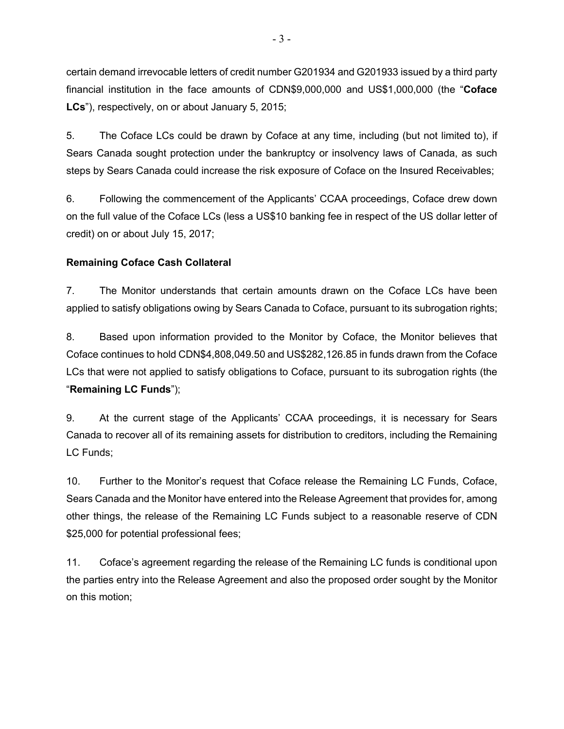certain demand irrevocable letters of credit number G201934 and G201933 issued by a third party financial institution in the face amounts of CDN\$9,000,000 and US\$1,000,000 (the "**Coface LCs**"), respectively, on or about January 5, 2015;

5. The Coface LCs could be drawn by Coface at any time, including (but not limited to), if Sears Canada sought protection under the bankruptcy or insolvency laws of Canada, as such steps by Sears Canada could increase the risk exposure of Coface on the Insured Receivables;

6. Following the commencement of the Applicants' CCAA proceedings, Coface drew down on the full value of the Coface LCs (less a US\$10 banking fee in respect of the US dollar letter of credit) on or about July 15, 2017;

# **Remaining Coface Cash Collateral**

7. The Monitor understands that certain amounts drawn on the Coface LCs have been applied to satisfy obligations owing by Sears Canada to Coface, pursuant to its subrogation rights;

8. Based upon information provided to the Monitor by Coface, the Monitor believes that Coface continues to hold CDN\$4,808,049.50 and US\$282,126.85 in funds drawn from the Coface LCs that were not applied to satisfy obligations to Coface, pursuant to its subrogation rights (the "**Remaining LC Funds**");

9. At the current stage of the Applicants' CCAA proceedings, it is necessary for Sears Canada to recover all of its remaining assets for distribution to creditors, including the Remaining LC Funds;

10. Further to the Monitor's request that Coface release the Remaining LC Funds, Coface, Sears Canada and the Monitor have entered into the Release Agreement that provides for, among other things, the release of the Remaining LC Funds subject to a reasonable reserve of CDN \$25,000 for potential professional fees;

11. Coface's agreement regarding the release of the Remaining LC funds is conditional upon the parties entry into the Release Agreement and also the proposed order sought by the Monitor on this motion;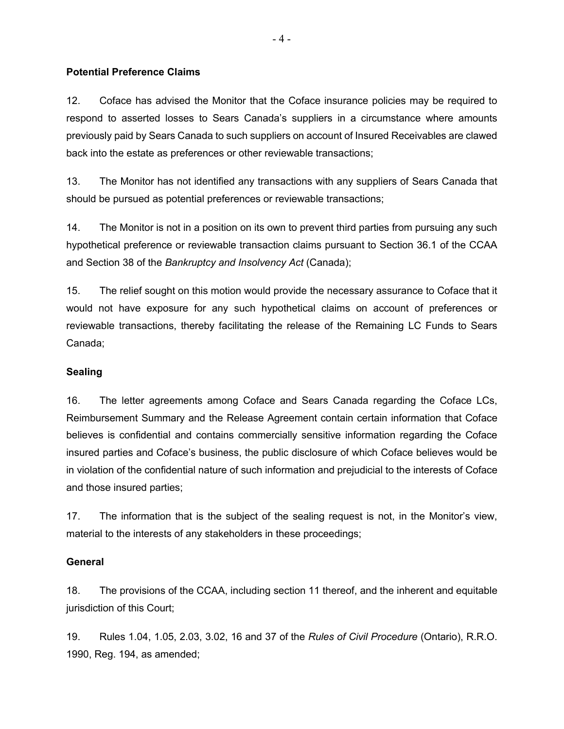## **Potential Preference Claims**

12. Coface has advised the Monitor that the Coface insurance policies may be required to respond to asserted losses to Sears Canada's suppliers in a circumstance where amounts previously paid by Sears Canada to such suppliers on account of Insured Receivables are clawed back into the estate as preferences or other reviewable transactions;

13. The Monitor has not identified any transactions with any suppliers of Sears Canada that should be pursued as potential preferences or reviewable transactions;

14. The Monitor is not in a position on its own to prevent third parties from pursuing any such hypothetical preference or reviewable transaction claims pursuant to Section 36.1 of the CCAA and Section 38 of the *Bankruptcy and Insolvency Act* (Canada);

15. The relief sought on this motion would provide the necessary assurance to Coface that it would not have exposure for any such hypothetical claims on account of preferences or reviewable transactions, thereby facilitating the release of the Remaining LC Funds to Sears Canada;

#### **Sealing**

16. The letter agreements among Coface and Sears Canada regarding the Coface LCs, Reimbursement Summary and the Release Agreement contain certain information that Coface believes is confidential and contains commercially sensitive information regarding the Coface insured parties and Coface's business, the public disclosure of which Coface believes would be in violation of the confidential nature of such information and prejudicial to the interests of Coface and those insured parties;

17. The information that is the subject of the sealing request is not, in the Monitor's view, material to the interests of any stakeholders in these proceedings;

#### **General**

18. The provisions of the CCAA, including section 11 thereof, and the inherent and equitable jurisdiction of this Court;

19. Rules 1.04, 1.05, 2.03, 3.02, 16 and 37 of the *Rules of Civil Procedure* (Ontario), R.R.O. 1990, Reg. 194, as amended;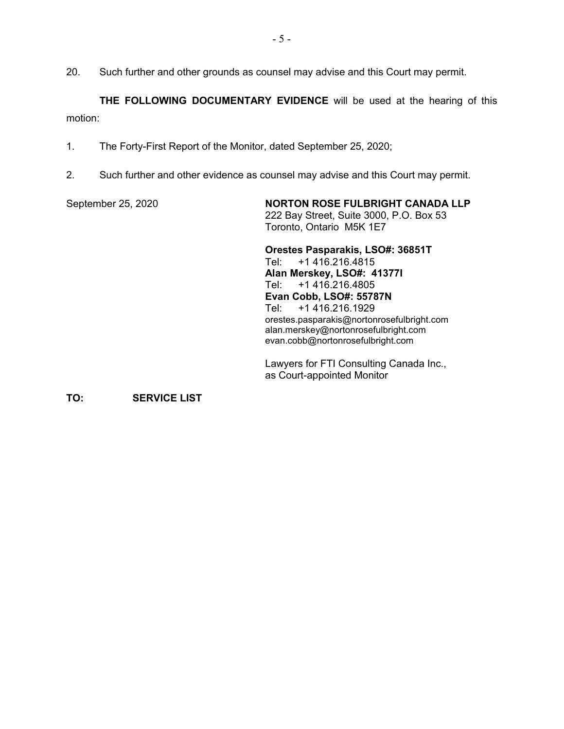20. Such further and other grounds as counsel may advise and this Court may permit.

**THE FOLLOWING DOCUMENTARY EVIDENCE** will be used at the hearing of this motion:

- 1. The Forty-First Report of the Monitor, dated September 25, 2020;
- 2. Such further and other evidence as counsel may advise and this Court may permit.

September 25, 2020 **NORTON ROSE FULBRIGHT CANADA LLP** 222 Bay Street, Suite 3000, P.O. Box 53 Toronto, Ontario M5K 1E7

> **Orestes Pasparakis, LSO#: 36851T** Tel: +1 416.216.4815 **Alan Merskey, LSO#: 41377I** Tel: +1 416.216.4805 **Evan Cobb, LSO#: 55787N** Tel: +1 416.216.1929 orestes.pasparakis@nortonrosefulbright.com alan.merskey@nortonrosefulbright.com evan.cobb@nortonrosefulbright.com

Lawyers for FTI Consulting Canada Inc., as Court-appointed Monitor

**TO: SERVICE LIST**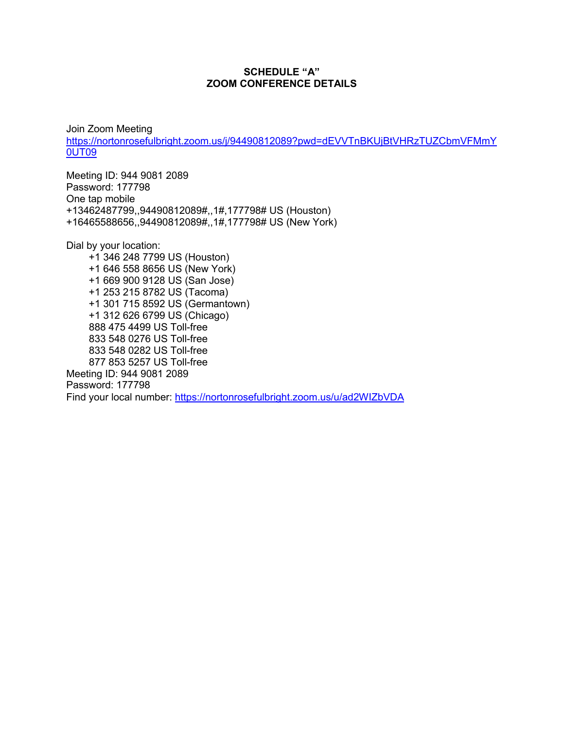#### **SCHEDULE "A" ZOOM CONFERENCE DETAILS**

Join Zoom Meeting [https://nortonrosefulbright.zoom.us/j/94490812089?pwd=dEVVTnBKUjBtVHRzTUZCbmVFMm](https://nortonrosefulbright.zoom.us/j/94490812089?pwd=dEVVTnBKUjBtVHRzTUZCbmVFMmY0UT09)Y 0UT09

Meeting ID: 944 9081 2089 Password: 177798 One tap mobile +13462487799,,94490812089#,,1#,177798# US (Houston) +16465588656,,94490812089#,,1#,177798# US (New York)

Dial by your location:

 +1 346 248 7799 US (Houston) +1 646 558 8656 US (New York) +1 669 900 9128 US (San Jose) +1 253 215 8782 US (Tacoma) +1 301 715 8592 US (Germantown) +1 312 626 6799 US (Chicago) 888 475 4499 US Toll-free 833 548 0276 US Toll-free 833 548 0282 US Toll-free 877 853 5257 US Toll-free Meeting ID: 944 9081 2089

Password: 177798 Find your local number:<https://nortonrosefulbright.zoom.us/u/ad2WIZbVDA>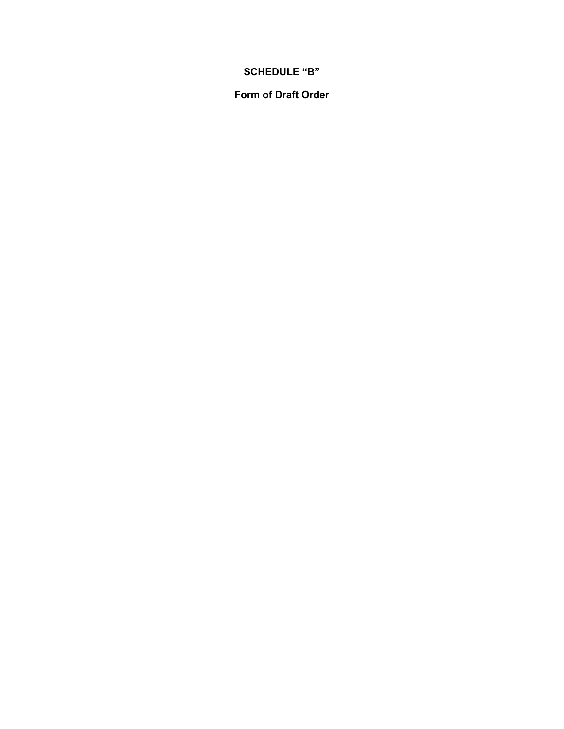## **SCHEDULE "B"**

**Form of Draft Order**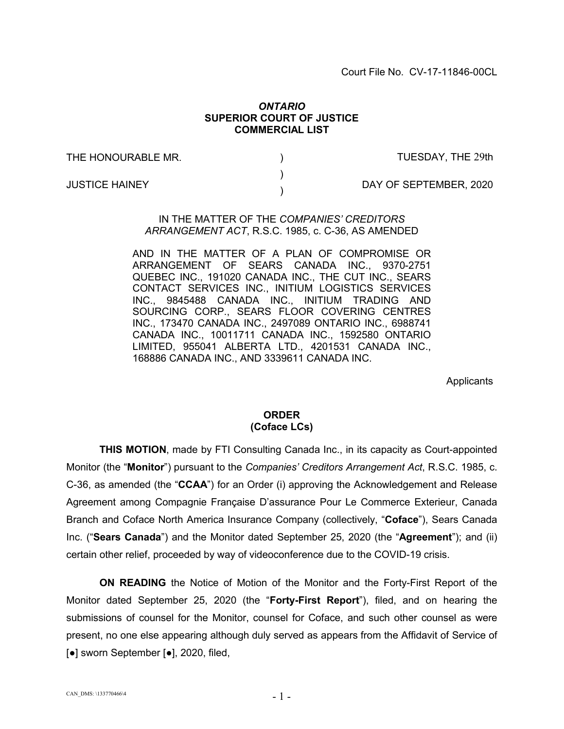#### *ONTARIO* **SUPERIOR COURT OF JUSTICE COMMERCIAL LIST**

) ) )

THE HONOURABLE MR.

TUESDAY, THE 29th

JUSTICE HAINEY

DAY OF SEPTEMBER, 2020

#### IN THE MATTER OF THE *COMPANIES' CREDITORS ARRANGEMENT ACT*, R.S.C. 1985, c. C-36, AS AMENDED

AND IN THE MATTER OF A PLAN OF COMPROMISE OR ARRANGEMENT OF SEARS CANADA INC., 9370-2751 QUEBEC INC., 191020 CANADA INC., THE CUT INC., SEARS CONTACT SERVICES INC., INITIUM LOGISTICS SERVICES INC., 9845488 CANADA INC., INITIUM TRADING AND SOURCING CORP., SEARS FLOOR COVERING CENTRES INC., 173470 CANADA INC., 2497089 ONTARIO INC., 6988741 CANADA INC., 10011711 CANADA INC., 1592580 ONTARIO LIMITED, 955041 ALBERTA LTD., 4201531 CANADA INC., 168886 CANADA INC., AND 3339611 CANADA INC.

**Applicants** 

## **ORDER (Coface LCs)**

**THIS MOTION**, made by FTI Consulting Canada Inc., in its capacity as Court-appointed Monitor (the "**Monitor**") pursuant to the *Companies' Creditors Arrangement Act*, R.S.C. 1985, c. C-36, as amended (the "**CCAA**") for an Order (i) approving the Acknowledgement and Release Agreement among Compagnie Française D'assurance Pour Le Commerce Exterieur, Canada Branch and Coface North America Insurance Company (collectively, "**Coface**"), Sears Canada Inc. ("**Sears Canada**") and the Monitor dated September 25, 2020 (the "**Agreement**"); and (ii) certain other relief, proceeded by way of videoconference due to the COVID-19 crisis.

**ON READING** the Notice of Motion of the Monitor and the Forty-First Report of the Monitor dated September 25, 2020 (the "**Forty-First Report**"), filed, and on hearing the submissions of counsel for the Monitor, counsel for Coface, and such other counsel as were present, no one else appearing although duly served as appears from the Affidavit of Service of [●] sworn September [●], 2020, filed,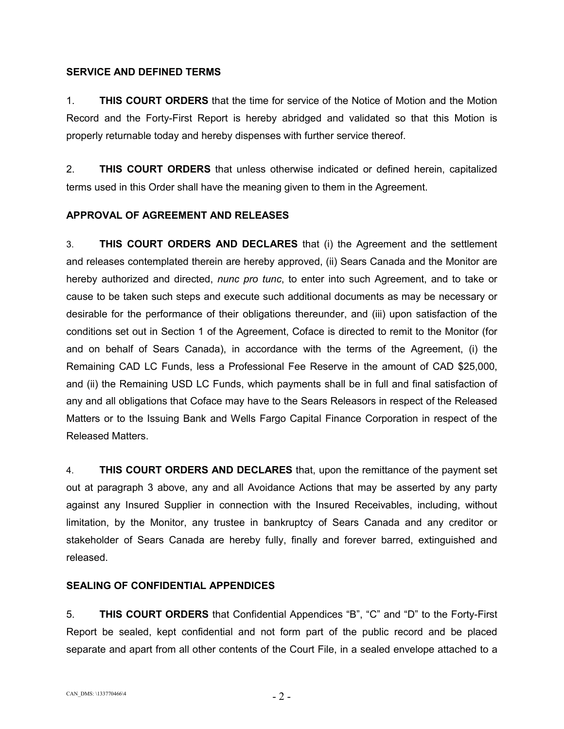## **SERVICE AND DEFINED TERMS**

1. **THIS COURT ORDERS** that the time for service of the Notice of Motion and the Motion Record and the Forty-First Report is hereby abridged and validated so that this Motion is properly returnable today and hereby dispenses with further service thereof.

2. **THIS COURT ORDERS** that unless otherwise indicated or defined herein, capitalized terms used in this Order shall have the meaning given to them in the Agreement.

## **APPROVAL OF AGREEMENT AND RELEASES**

3. **THIS COURT ORDERS AND DECLARES** that (i) the Agreement and the settlement and releases contemplated therein are hereby approved, (ii) Sears Canada and the Monitor are hereby authorized and directed, *nunc pro tunc*, to enter into such Agreement, and to take or cause to be taken such steps and execute such additional documents as may be necessary or desirable for the performance of their obligations thereunder, and (iii) upon satisfaction of the conditions set out in Section 1 of the Agreement, Coface is directed to remit to the Monitor (for and on behalf of Sears Canada), in accordance with the terms of the Agreement, (i) the Remaining CAD LC Funds, less a Professional Fee Reserve in the amount of CAD \$25,000, and (ii) the Remaining USD LC Funds, which payments shall be in full and final satisfaction of any and all obligations that Coface may have to the Sears Releasors in respect of the Released Matters or to the Issuing Bank and Wells Fargo Capital Finance Corporation in respect of the Released Matters.

4. **THIS COURT ORDERS AND DECLARES** that, upon the remittance of the payment set out at paragraph 3 above, any and all Avoidance Actions that may be asserted by any party against any Insured Supplier in connection with the Insured Receivables, including, without limitation, by the Monitor, any trustee in bankruptcy of Sears Canada and any creditor or stakeholder of Sears Canada are hereby fully, finally and forever barred, extinguished and released.

## **SEALING OF CONFIDENTIAL APPENDICES**

5. **THIS COURT ORDERS** that Confidential Appendices "B", "C" and "D" to the Forty-First Report be sealed, kept confidential and not form part of the public record and be placed separate and apart from all other contents of the Court File, in a sealed envelope attached to a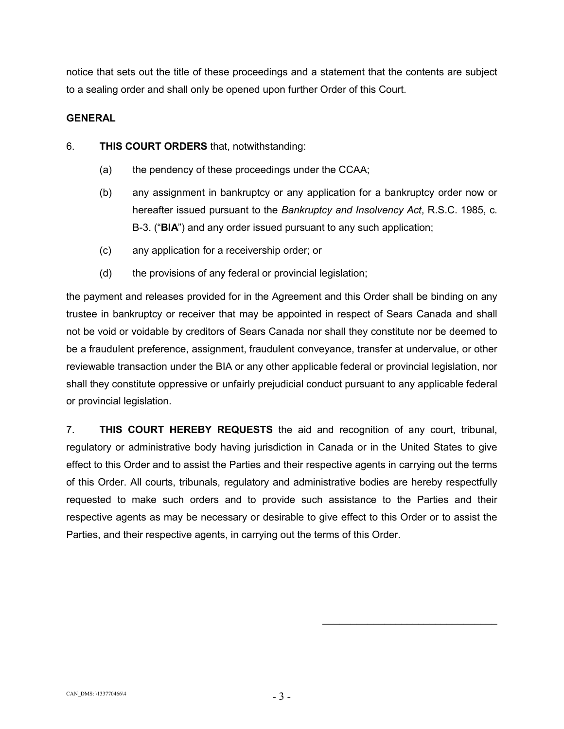notice that sets out the title of these proceedings and a statement that the contents are subject to a sealing order and shall only be opened upon further Order of this Court.

## **GENERAL**

- 6. **THIS COURT ORDERS** that, notwithstanding:
	- (a) the pendency of these proceedings under the CCAA;
	- (b) any assignment in bankruptcy or any application for a bankruptcy order now or hereafter issued pursuant to the *Bankruptcy and Insolvency Act*, R.S.C. 1985, c. B-3. ("**BIA**") and any order issued pursuant to any such application;
	- (c) any application for a receivership order; or
	- (d) the provisions of any federal or provincial legislation;

the payment and releases provided for in the Agreement and this Order shall be binding on any trustee in bankruptcy or receiver that may be appointed in respect of Sears Canada and shall not be void or voidable by creditors of Sears Canada nor shall they constitute nor be deemed to be a fraudulent preference, assignment, fraudulent conveyance, transfer at undervalue, or other reviewable transaction under the BIA or any other applicable federal or provincial legislation, nor shall they constitute oppressive or unfairly prejudicial conduct pursuant to any applicable federal or provincial legislation.

7. **THIS COURT HEREBY REQUESTS** the aid and recognition of any court, tribunal, regulatory or administrative body having jurisdiction in Canada or in the United States to give effect to this Order and to assist the Parties and their respective agents in carrying out the terms of this Order. All courts, tribunals, regulatory and administrative bodies are hereby respectfully requested to make such orders and to provide such assistance to the Parties and their respective agents as may be necessary or desirable to give effect to this Order or to assist the Parties, and their respective agents, in carrying out the terms of this Order.

 $\mathcal{L}_\text{max}$  , where  $\mathcal{L}_\text{max}$  is the set of the set of the set of the set of the set of the set of the set of the set of the set of the set of the set of the set of the set of the set of the set of the set of the se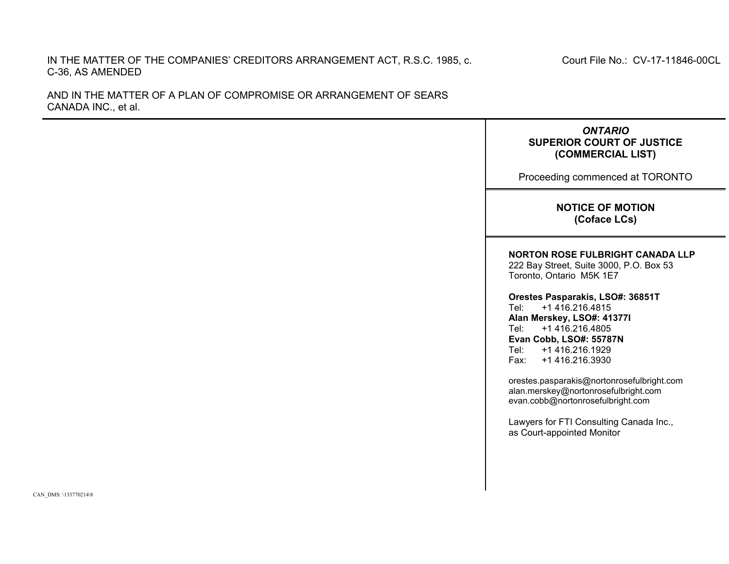## IN THE MATTER OF THE COMPANIES' CREDITORS ARRANGEMENT ACT, R.S.C. 1985, c. C-36, AS AMENDED

AND IN THE MATTER OF A PLAN OF COMPROMISE OR ARRANGEMENT OF SEARS CANADA INC., et al.

> *ONTARIO* **SUPERIOR COURT OF JUSTICE (COMMERCIAL LIST)**

Proceeding commenced at TORONTO

**NOTICE OF MOTION (Coface LCs)**

#### **NORTON ROSE FULBRIGHT CANADA LLP**

222 Bay Street, Suite 3000, P.O. Box 53 Toronto, Ontario M5K 1E7

**Orestes Pasparakis, LSO#: 36851T** Tel: +1 416.216.4815 **Alan Merskey, LSO#: 41377I** Tel: +1 416.216.4805 **Evan Cobb, LSO#: 55787N** Tel: +1 416.216.1929 Fax: +1 416.216.3930

orestes.pasparakis@nortonrosefulbright.com alan.merskey@nortonrosefulbright.com evan.cobb@nortonrosefulbright.com

Lawyers for FTI Consulting Canada Inc., as Court-appointed Monitor

Court File No.: CV-17-11846-00CL